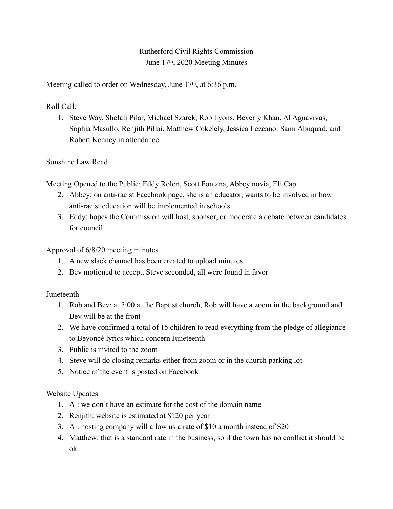# Rutherford Civil Rights Commission June 17th, 2020 Meeting Minutes

Meeting called to order on Wednesday, June 17<sup>th</sup>, at 6:36 p.m.

Roll Call:

1. Steve Way, Shefali Pilar, Michael Szarek, Rob Lyons, Beverly Khan, Al Aguavivas, Sophia Masullo, Renjith Pillai, Matthew Cokelely, Jessica Lezcano. Sami Abuquad, and Robert Kenney in attendance

Sunshine Law Read

Meeting Opened to the Public: Eddy Rolon, Scott Fontana, Abbey novia, Eli Cap

- 2. Abbey: on anti-racist Facebook page, she is an educator, wants to be involved in how anti-racist education will be implemented in schools
- 3. Eddy: hopes the Commission will host, sponsor, or moderate a debate between candidates for council

Approval of 6/8/20 meeting minutes

- 1. A new slack channel has been created to upload minutes
- 2. Bev motioned to accept, Steve seconded, all were found in favor

Juneteenth

- 1. Rob and Bev: at 5:00 at the Baptist church, Rob will have a zoom in the background and Bev will be at the front
- 2. We have confirmed a total of 15 children to read everything from the pledge of allegiance to Beyoncé lyrics which concern Juneteenth
- 3. Public is invited to the zoom
- 4. Steve will do closing remarks either from zoom or in the church parking lot
- 5. Notice of the event is posted on Facebook

Website Updates

- 1. Al: we don't have an estimate for the cost of the domain name
- 2. Renjith: website is estimated at \$120 per year
- 3. Al: hosting company will allow us a rate of \$10 a month instead of \$20
- 4. Matthew: that is a standard rate in the business, so if the town has no conflict it should be ok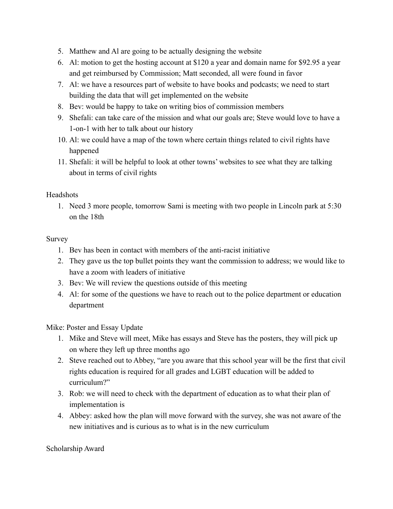- 5. Matthew and Al are going to be actually designing the website
- 6. Al: motion to get the hosting account at \$120 a year and domain name for \$92.95 a year and get reimbursed by Commission; Matt seconded, all were found in favor
- 7. Al: we have a resources part of website to have books and podcasts; we need to start building the data that will get implemented on the website
- 8. Bev: would be happy to take on writing bios of commission members
- 9. Shefali: can take care of the mission and what our goals are; Steve would love to have a 1-on-1 with her to talk about our history
- 10. Al: we could have a map of the town where certain things related to civil rights have happened
- 11. Shefali: it will be helpful to look at other towns' websites to see what they are talking about in terms of civil rights

### Headshots

1. Need 3 more people, tomorrow Sami is meeting with two people in Lincoln park at 5:30 on the 18th

# Survey

- 1. Bev has been in contact with members of the anti-racist initiative
- 2. They gave us the top bullet points they want the commission to address; we would like to have a zoom with leaders of initiative
- 3. Bev: We will review the questions outside of this meeting
- 4. Al: for some of the questions we have to reach out to the police department or education department

Mike: Poster and Essay Update

- 1. Mike and Steve will meet, Mike has essays and Steve has the posters, they will pick up on where they left up three months ago
- 2. Steve reached out to Abbey, "are you aware that this school year will be the first that civil rights education is required for all grades and LGBT education will be added to curriculum?"
- 3. Rob: we will need to check with the department of education as to what their plan of implementation is
- 4. Abbey: asked how the plan will move forward with the survey, she was not aware of the new initiatives and is curious as to what is in the new curriculum

Scholarship Award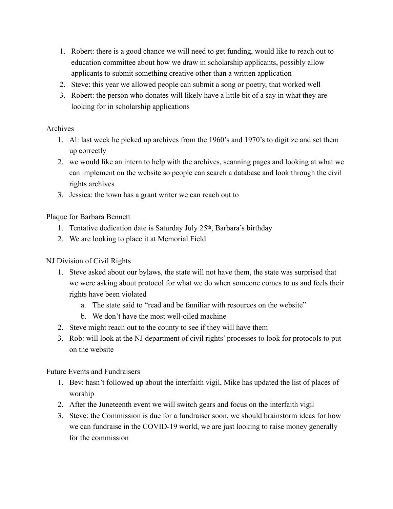- 1. Robert: there is a good chance we will need to get funding, would like to reach out to education committee about how we draw in scholarship applicants, possibly allow applicants to submit something creative other than a written application
- 2. Steve: this year we allowed people can submit a song or poetry, that worked well
- 3. Robert: the person who donates will likely have a little bit of a say in what they are looking for in scholarship applications

# Archives

- 1. Al: last week he picked up archives from the 1960's and 1970's to digitize and set them up correctly
- 2. we would like an intern to help with the archives, scanning pages and looking at what we can implement on the website so people can search a database and look through the civil rights archives
- 3. Jessica: the town has a grant writer we can reach out to

### Plaque for Barbara Bennett

- 1. Tentative dedication date is Saturday July 25th, Barbara's birthday
- 2. We are looking to place it at Memorial Field

# NJ Division of Civil Rights

- 1. Steve asked about our bylaws, the state will not have them, the state was surprised that we were asking about protocol for what we do when someone comes to us and feels their rights have been violated
	- a. The state said to "read and be familiar with resources on the website"
	- b. We don't have the most well-oiled machine
- 2. Steve might reach out to the county to see if they will have them
- 3. Rob: will look at the NJ department of civil rights' processes to look for protocols to put on the website

Future Events and Fundraisers

- 1. Bev: hasn't followed up about the interfaith vigil, Mike has updated the list of places of worship
- 2. After the Juneteenth event we will switch gears and focus on the interfaith vigil
- 3. Steve: the Commission is due for a fundraiser soon, we should brainstorm ideas for how we can fundraise in the COVID-19 world, we are just looking to raise money generally for the commission